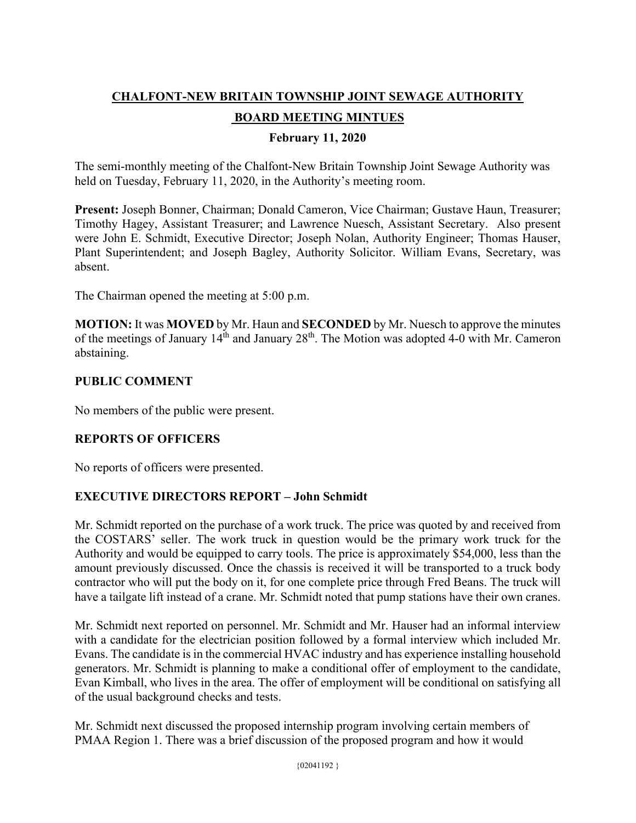# **CHALFONT-NEW BRITAIN TOWNSHIP JOINT SEWAGE AUTHORITY**

## **BOARD MEETING MINTUES**

### **February 11, 2020**

The semi-monthly meeting of the Chalfont-New Britain Township Joint Sewage Authority was held on Tuesday, February 11, 2020, in the Authority's meeting room.

**Present:** Joseph Bonner, Chairman; Donald Cameron, Vice Chairman; Gustave Haun, Treasurer; Timothy Hagey, Assistant Treasurer; and Lawrence Nuesch, Assistant Secretary. Also present were John E. Schmidt, Executive Director; Joseph Nolan, Authority Engineer; Thomas Hauser, Plant Superintendent; and Joseph Bagley, Authority Solicitor. William Evans, Secretary, was absent.

The Chairman opened the meeting at 5:00 p.m.

**MOTION:** It was **MOVED** by Mr. Haun and **SECONDED** by Mr. Nuesch to approve the minutes of the meetings of January  $14<sup>th</sup>$  and January  $28<sup>th</sup>$ . The Motion was adopted 4-0 with Mr. Cameron abstaining.

### **PUBLIC COMMENT**

No members of the public were present.

## **REPORTS OF OFFICERS**

No reports of officers were presented.

### **EXECUTIVE DIRECTORS REPORT – John Schmidt**

Mr. Schmidt reported on the purchase of a work truck. The price was quoted by and received from the COSTARS' seller. The work truck in question would be the primary work truck for the Authority and would be equipped to carry tools. The price is approximately \$54,000, less than the amount previously discussed. Once the chassis is received it will be transported to a truck body contractor who will put the body on it, for one complete price through Fred Beans. The truck will have a tailgate lift instead of a crane. Mr. Schmidt noted that pump stations have their own cranes.

Mr. Schmidt next reported on personnel. Mr. Schmidt and Mr. Hauser had an informal interview with a candidate for the electrician position followed by a formal interview which included Mr. Evans. The candidate is in the commercial HVAC industry and has experience installing household generators. Mr. Schmidt is planning to make a conditional offer of employment to the candidate, Evan Kimball, who lives in the area. The offer of employment will be conditional on satisfying all of the usual background checks and tests.

Mr. Schmidt next discussed the proposed internship program involving certain members of PMAA Region 1. There was a brief discussion of the proposed program and how it would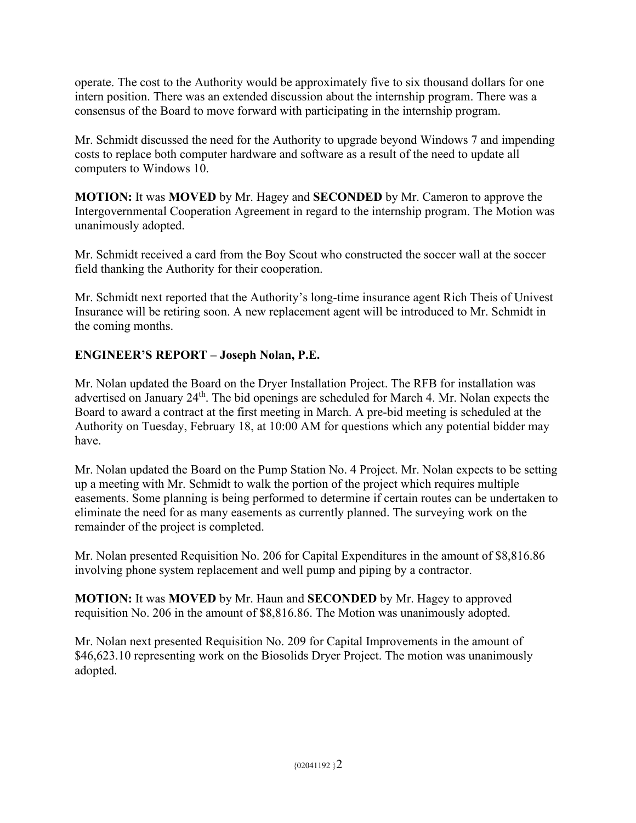operate. The cost to the Authority would be approximately five to six thousand dollars for one intern position. There was an extended discussion about the internship program. There was a consensus of the Board to move forward with participating in the internship program.

Mr. Schmidt discussed the need for the Authority to upgrade beyond Windows 7 and impending costs to replace both computer hardware and software as a result of the need to update all computers to Windows 10.

**MOTION:** It was **MOVED** by Mr. Hagey and **SECONDED** by Mr. Cameron to approve the Intergovernmental Cooperation Agreement in regard to the internship program. The Motion was unanimously adopted.

Mr. Schmidt received a card from the Boy Scout who constructed the soccer wall at the soccer field thanking the Authority for their cooperation.

Mr. Schmidt next reported that the Authority's long-time insurance agent Rich Theis of Univest Insurance will be retiring soon. A new replacement agent will be introduced to Mr. Schmidt in the coming months.

# **ENGINEER'S REPORT – Joseph Nolan, P.E.**

Mr. Nolan updated the Board on the Dryer Installation Project. The RFB for installation was advertised on January 24th. The bid openings are scheduled for March 4. Mr. Nolan expects the Board to award a contract at the first meeting in March. A pre-bid meeting is scheduled at the Authority on Tuesday, February 18, at 10:00 AM for questions which any potential bidder may have.

Mr. Nolan updated the Board on the Pump Station No. 4 Project. Mr. Nolan expects to be setting up a meeting with Mr. Schmidt to walk the portion of the project which requires multiple easements. Some planning is being performed to determine if certain routes can be undertaken to eliminate the need for as many easements as currently planned. The surveying work on the remainder of the project is completed.

Mr. Nolan presented Requisition No. 206 for Capital Expenditures in the amount of \$8,816.86 involving phone system replacement and well pump and piping by a contractor.

**MOTION:** It was **MOVED** by Mr. Haun and **SECONDED** by Mr. Hagey to approved requisition No. 206 in the amount of \$8,816.86. The Motion was unanimously adopted.

Mr. Nolan next presented Requisition No. 209 for Capital Improvements in the amount of \$46,623.10 representing work on the Biosolids Dryer Project. The motion was unanimously adopted.